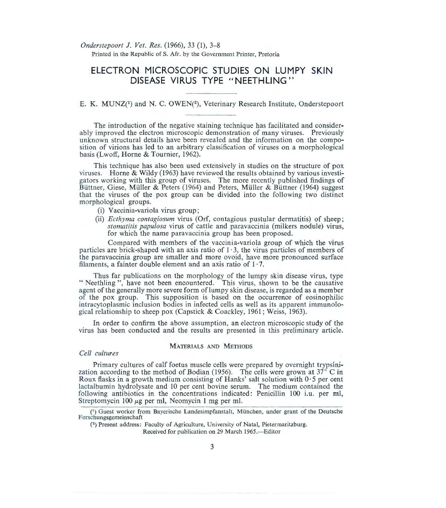*Onderstepoort* J. *Vet. Res.* (1966), 33 (1), 3-8 Printed in the Republic of S. Afr. by the Government Printer, Pretoria

# **ELECTRON MICROSCOPIC STUDIES ON LUMPY SKIN DISEASE VIRUS TYPE "NEETHLING"**

## E. K. MUNZ<sup>(1</sup>) and N. C. OWEN<sup>(2)</sup>, Veterinary Research Institute, Onderstepoort

The introduction of the negative staining technique has facilitated and considerably improved the electron microscopic demonstration of many viruses. Previously unknown structural details have been revealed and the information on the composition of virions has led to an arbitrary classification of viruses on a morphological basis (Lwoff, Horne & Tournier, 1962).

This technique has also been used extensively in studies on the structure of pox viruses. Horne & Wildy (1963) have reviewed the results obtained by various investigators working with this group of viruses. The more recently published findings of Büttner, Giese, Müller & Peters (1964) and Peters, Müller & Büttner (1964) suggest that the viruses of the pox group can be divided into the following two distinct morphological groups.

- (i) Vaccinia-variola virus group;
- (ii) *Ecthyma contagiosum* virus (Orf, contagious pustular dermatitis) of sheep; *stomatitis papulosa* virus of cattle and paravaccinia (milkers nodule) virus, for which the name paravaccinia group has been proposed.

Compared with members of the vaccinia-variola group of which the virus particles are brick-shaped with an axis ratio of  $1 \cdot 3$ , the virus particles of members of the paravaccinia group are smaller and more ovoid, have more pronounced surface filaments, a fainter double element and an axis ratio of  $1 \cdot 7$ .

Thus far publications on the morphology of the lumpy skin disease virus, type " Neethling ", have not been encountered. This virus, shown to be the causative agent of the generally more severe form of lumpy skin disease, is regarded as a member of the pox group. This supposition is based on the occurrence of eosinophilic intracytoplasmic inclusion bodies in infected cells as well as its apparent immunological relationship to sheep pox (Capstick & Coackley, 1961; Weiss, 1963).

In order to confirm the above assumption, an electron microscopic study of the virus has been conducted and the results are presented in this preliminary article.

#### MATERIALS AND METHODS

#### *Cell cultures*

Primary cultures of calf foetus muscle cells were prepared by overnight trypsinization according to the method of Bodian (1956). The cells were grown at  $37^\circ$  C in Roux flasks in a growth medium consisting of Hanks' salt solution with  $0.5$  per cent lactalbumin hydrolysate and 10 per cent bovine serum. The medium contained the following antibiotics in the concentrations indicated: Penicillin 100 i.u. per m1, Streptomycin 100  $\mu$ g per ml, Neomycin 1 mg per ml.

(<sup>1</sup>) Guest worker from Bayerische Landesimpfanstalt, München, under grant of the Deutsche Forschungsgemeinschaft

(2) Present address: Faculty of Agriculture, University of Natal, Pietermaritzburg.

Received for publication on 29 March 1965.—Editor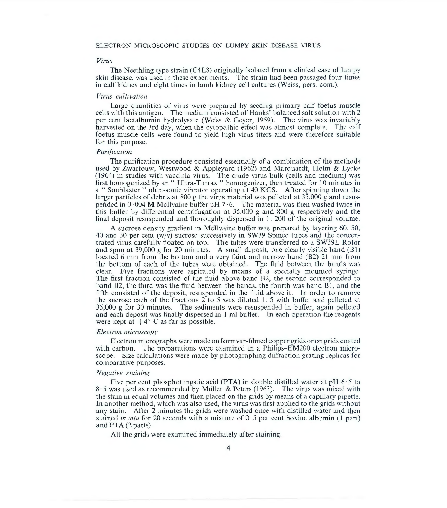#### ELECTRON MICROSCOPIC STUDIES ON LUMPY SKIN DISEASE VIRUS

#### *Virus*

The Neethling type strain (C4L8) originally isolated from a clinical case of lumpy skin disease, was used in these experiments. The strain had been passaged four times in calf kidney and eight times in lamb kidney cell cultures (Weiss, pers. com.).

#### *Virus cultivation*

Large quantities of virus were prepared by seeding primary calf foetus muscle cells with this antigen. The medium consisted of Hanks' balanced salt solution with 2 pet cent lactalbumin hydrolysate (Weiss & Geyer, 1959). The virus was invariably harvested on the 3rd day, when the cytopathic effect was almost complete. The calf foetus muscle cells were found to yield high virus titers and were therefore suitable for this purpose.

#### *Purification*

The purification procedure consisted essentially of a combination of the methods used by Zwartouw, Westwood & Appleyard (1962) and Marquardt, Holm & Lycke (1964) in studies with vaccinia virus. The crude virus bulk (cells and medium) was first homogenized by an "Ultra-Turrax" homogenizer, then treated for 10 minutes in a " Sonblaster " ultra-sonic vibrator operating at 40 KCS. After spinning down the larger particles of debris at 800 g the virus material was pelleted at 35,000 g and resuspended in  $0.004$  M McIlvaine buffer pH 7.6. The material was then washed twice in this buffer by differential centrifugation at 35,000 g and 800 g respectively and the final deposit resuspended and thoroughly dispersed in 1: 200 of the original volume.

A sucrose density gradient in Mcilvaine buffer was prepared by layering 60, 50, 40 and 30 per cent  $(w/v)$  sucrose successively in SW39 Spinco tubes and the concentrated virus carefully floated on top. The tubes were transferred to a SW39L Rotor and spun at 39,000 g for 20 minutes. A small deposit, one clearly visible band (Bl) located 6 mm from the bottom and a very faint and narrow band (B2) 21 mm from the bottom of each of the tubes were obtained. The fluid between the bands was clear. Five fractions were aspirated by means of a specially mounted syringe. The first fraction consisted of the fluid above band B2, the second corresponded to band B2, the third was the fluid between the bands, the fourth was band Bl, and the fifth consisted of the deposit, resuspended in the fluid above it. In order to remove the sucrose each of the fractions  $2$  to 5 was diluted 1:5 with buffer and pelleted at 35,000 g for 30 minutes. The sediments were resuspended in buffer, again pelleted and each deposit was finally dispersed in I ml buffer. In each operation the reagents were kept at  $+4^{\circ}$  C as far as possible.

#### *Electron microscopy*

Electron micrographs were made on formvar-filmed copper grids or on grids coated with carbon. The preparations were examined in a Philips-EM200 electron microscope. Size calculations were made by photographing diffraction grating replicas for comparative purposes.

#### *Negative staining*

Five per cent phosphotungstic acid (PTA) in double distilled water at pH  $6.5$  to 8 · 5 was used as recommended by Muller & Peters (1963). The virus was mixed with the stain in equal volumes and then placed on the grids by means of a capillary pipette. In another method, which was also used, the virus was first applied to the grids without any stain. After 2 minutes the grids were washed once with distilled water and then stained *in situ* for 20 seconds with a mixture of  $0.5$  per cent bovine albumin (1 part) and PTA (2 parts).

All the grids were examined immediately after staining.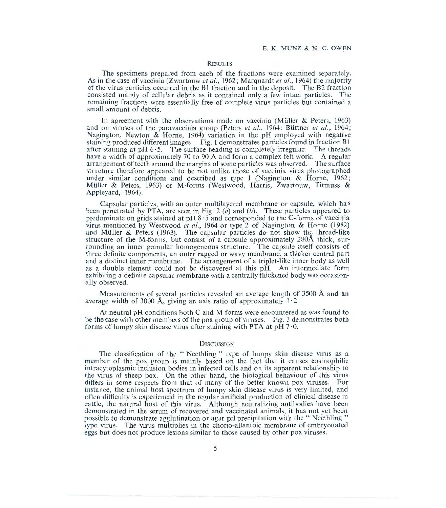#### **RESULTS**

The specimens prepared from each of the fractions were examined separately. As in the case of vaccinia (Zwartouw *et al.*, 1962; Marquardt *et al.*, 1964) the majority of the virus particles occurred in the B1 fraction and in the deposit. The B2 fraction consisted mainly of cellular debris as it contained only a few intact particles. The consisted mainly of cellular debris as it contained only a few intact particles. remaining fractions were essentially free of complete virus particles but contained a small amount of debris.

In agreement with the observations made on vaccinia (Müller & Peters, 1963) and on viruses of the paravaccinia group (Peters *et al.*, 1964; Büttner *et al.*, 1964; Nagington, Newton & Horne, 1964) variation in the pH employed with negative staining produced different images. Fig. 1 demonstrates particles found in fraction B I after staining at pH  $6.5$ . The surface beading is completely irregular. The threads have a width of approximately 70 to 90 Å and form a complex felt work. A regular arrangement of teeth around the margins of some particles was observed. The surface structure therefore appeared to be not unlike those of vaccinia virus photographed under similar conditions and described as type 1 (Nagington & Horne, 1962; Müller & Peters, 1963) or M-forms (Westwood, Harris, Zwartouw, Titmuss & Appleyard, 1964).

Capsular particles, with an outer multilayered membrane or capsule, which has been penetrated by PTA, are seen in Fig. 2 (*a*) and (*b*). These particles appeared to predominate on grids stained at  $pH_8 \cdot 5$  and corresponded to the C-forms of vaccinia virus mentioned by Westwood *eta!. ,* 1964 or type 2 of Nagington & Horne (1962) and Müller & Peters  $(1963)$ . The capsular particles do not show the thread-like structure of the M-forms, but consist of a capsule approximately 280Å thick, surrounding an inner granular homogeneous structure. The capsule itself consists of three definite components, an outer ragged or wavy membrane, a thicker central part and a distinct inner membrane. The arrangement of a triplet-like inner body as well as a double element could not be discovered at this pH. An intermediate form exhibiting a definite capsular membrane with a centrally thickened body was occasionally observed.

Measurements of several particles revealed an average length of 3500 A and an average width of 3000 Å, giving an axis ratio of approximately  $1 \cdot 2$ .

At neutral pH conditions both C and M forms were encountered as was found to be the case with other members of the pox group of viruses. Fig. 3 demonstrates both forms of lumpy skin disease virus after staining with PTA at  $pH 7.0$ .

#### **DISCUSSION**

The classification of the " Neethling " type of lumpy skin disease virus as a member of the pox group is mainly based on the fact that it causes eosinophilic intracytoplasmic inclusion bodies in infected cells and on its apparent relationship to the virus of sheep pox. On the other hand, the biological behaviour of this virus differs in some respects from that of many of the better known pox viruses. For instance, the animal host spectrum of lumpy skin disease virus is very limited, and often difficulty is experienced in the regular artificial production of clinical disease in cattle, the natural host of this virus. Although neutralizing antibodies have been demonstrated in the serum of recovered and vaccinated animals, it has not yet been possible to demonstrate agglutination or agar gel precipitation with the "Neethling" type virus. The virus multiplies in the chorio-allantoic membrane of embryonated eggs but does not produce lesions similar to those caused by other pox viruses.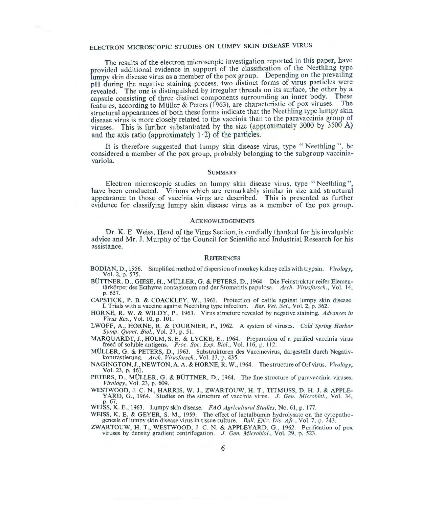## ELECTRON MICROSCOPIC STUDIES ON LUMPY SKiN DISEASE VIRUS

The results of the electron microscopic investigation reported in this paper, have provided additional evidence in support of the classification of the Neethling type lumpy skin disease virus as a member of the pox group. Depending on the prevailing pH during the negative staining process, two distinct forms of virus particles were revealed. The one is distinguished by irregular threads on its surface, the other by a capsule consisting of three distinct components surrounding an inner body. These features, according to Müller & Peters (1963), are characteristic of pox viruses. The structural appearances of both these forms indicate that the Neethling type lumpy skin disease virus is more closely related to the vaccinia than to the paravaccinia group of viruses. This is further substantiated by the size (approximately 3000 by 3500 A) and the axis ratio (approximately  $1 \cdot 2$ ) of the particles.

It is therefore suggested that lumpy skin disease virus, type " Neethling ", be considered a member of the pox group, probably belonging to the subgroup vacciniavariola.

#### **SUMMARY**

Electron microscopic studies on lumpy skin disease virus, type "Neethling", have been conducted. Virions which are remarkably similar in size and structural appearance to those of vaccinia virus are described. This is presented as further evidence for classifying lumpy skin disease virus as a member of the pox group.

#### **ACKNOWLEDGEMENTS**

Dr. K. E. Weiss, Head of the Virus Section, is cordially thanked for his invaluable advice and Mr. J. Murphy of the Council for Scientific and Industrial Research for his assistance.

#### **REFERENCES**

- BODIAN, D., 1956. Simplified method of dispersion of monkey kidney cells with trypsin. *Virology*, Vol. 2, p. 575.<br>BÜTTNER, D., GIESE, H., MÜLLER, G. & PETERS, D., 1964. Die Feinstruktur reifer Elemen-
- tärkörper des Ecthyma contagiosum und der Stomatitis papulosa. *Arch. Virusforsch.*, Vol. 14, p. 657.
- CAPSTICK, P. B. & COACKLEY, W., 1961. Protection of cattle against lumpy skin disease. I. Trials with a vaccine against Neethling type infection. *Res. Vet. Sci.,* Vol. 2, p. 362.
- HORNE, R. W. & WILDY, P., 1963. Virus structure revealed by negative staining. *Advances in Virus Res.,* Vol. 10, p. 101.
- LWOFF, A., HORNE, R. & TOURNIER, P., 1962. A system of viruses. *Cold Spring Harbor Symp. Quant. Bioi. ,* Vol. 27, p. 51.
- MARQUARDT, J., HOLM, S. E. & LYCKE, E., 1964. Preparation of a purified vaccinia virus freed of soluble antigens. *Proc. Soc. Exp. Bioi.,* Vol. 116, p. 112.
- MOLLER, G . & PETERS, D., 1963. Substrukturen des Vaccinevirus, dargestellt durch Negativkontrastierung. *Arch. Virwforsch .,* Vol. 13, p. 435.
- NAGINGTON, J., NEWTON, A. A. & HORNE, R. W. , 1964. The structure of Orf virus. *Virology,* Vol. 23, p. 461.
- PETERS, D., MÜLLER, G. & BÜTTNER, D., 1964. The fine structure of paravaccinia viruses. *Virology*, Vol. 23, p. 609.
- WESTWOOD, J. C. N., HARRIS, W. J., ZWARTOUW, H. T., TITMUSS, D. H. J. & APPLE-YARD, G., 1964. Studies on the structure of vaccinia virus. J. Gen. Microbiol., Vol. 34, p. 67.

WEISS, K. E., 1963. Lumpy skin disease. *FA 0 Agricultural Studies,* No. 61, p. 177.

- WEISS, K. E. & GEYER, S. M., 1959. The effect of lactal bumin hydrolysate on the cytopatho-<br>genesis of lumpy skin disease virus in tissue culture. *Bull. Epiz. Dis. Afr.*, Vol. 7, p. 243.
- ZWARTOUW, H. T., WESTWOOD, J. C. N . & APPLEYARD, G., 1962. Purification of pox viruses by density gradient centrifugation. J. *Gen. Microbial.,* Vol. 29, p. 523 .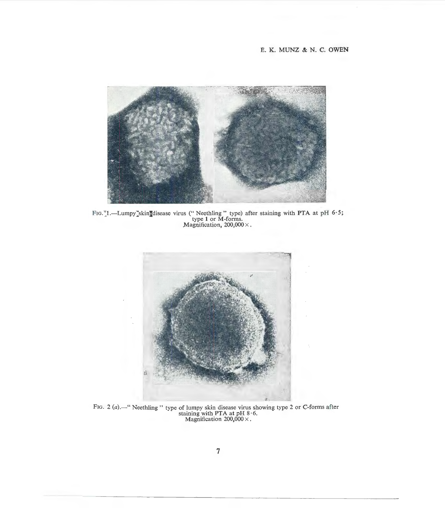### E. K. MUNZ & N. C. OWEN



FIG.<sup> $\tau$ </sup>1.—Lumpy $\checkmark$ skin $\checkmark$ disease virus ("Neethling" type) after staining with PTA at pH 6.5;<br>type 1 or M-forms.<br>Magnification, 200,000 ×.



FIG. 2 (a).—" Neethling " type of lumpy skin disease virus showing type 2 or C-forms after staining with PTA at pH  $8.6$ .<br>Magnification  $200,000 \times$ .